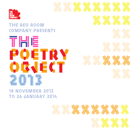

### The Red Room Company presents XXXXXXX XX XXXXXX EOMPANY <del>:</del><br>THE RED ROOM



### 18 November 2013 to 26 January 2014 I SINUVEIVILLER ZUIS<br>TO 26 JANUARY 2014

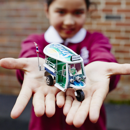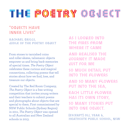# THE POETRY OBJECT

### "Objects have inner lives"

RACHAEL BRIGGS. judge of The Poetry Object

From stones to tarnished coins and roller-skates, talismanic objects empower us and bring back memories of special times. *The Poetry Object* celebrates these curious and magical connections, collecting poems that tell stories about how we find, lose, and treasure our objects.

Created by The Red Room Company, *The Poetry Object* is a free writing competition that invites young writers and their teachers to submit poems and photographs about objects that are special to them. First commissioned by NSW Public Schools (Sydney Region) in 2011, *The Poetry Object* was opened to all Australian and New Zealand schools in 2013.

As I looked into the fires from where it came and realised the journey it made just for me so much detail put into the flowers and so many flowers put into the sea, each little flower has its own story, so many stories put into one object.

(excerpt) Oli, Year 6, Heathcote Public School, NSW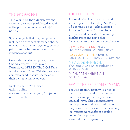#### THE 2013 PROJECT

This year more than 70 primary and secondary schools participated, resulting in the publication of a record 1150 poems.

Special objects that inspired poems included an arm cast, flamenco shoes, musical instruments, jewellery, beloved pets, books, a turban and even one student's shadow!

Celebrated Australian poets, Eileen Chong, Zenobia Frost, Royce Kurmelovs, L-FRESH The LION, Kate Middleton and Corey Wakeling were also commissioned to write poems about their own talismanic objects.

Explore *The Poetry Object*  gallery online www.redroomcompany.org/projects/ poetry-object/

### THE EXHIRITION

The exhibition features shortlisted student poems selected by *The Poetry Object* judge, poet Rachael Briggs. Prizes for Winning Student Poem (Primary and Secondary), Winning Teacher Poem and Best School Installation were awarded respectively to

James Pateman, Year 6, Holy Saviour School, NSW Isabella Smith, Year 8, IONA COLLEGE, HAWKE'S BAY, NZ Ms Alison Johnson, WATERFORD STATE PRIMARY SCHOOL, QLD Mid-North Christian College, SA

#### About the Red Room Company

The Red Room Company is a not-forprofit arts organisation that creates, publishes and promotes poetry in unusual ways. Through interactive public projects and poetry education programs in schools and other learning institutions we transform people's perception of poetry. www.redroomcompany.org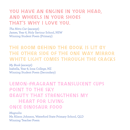### you have an engine in your head, and wheels in your shoes that's why I love you.

*The Nitro Car* (excerpt) James, Year 6, Holy Saviour School, NSW Winning Student Poem (Primary)

### the room behind the book is lit by the other side of the one way mirror white light comes through the cracks

*My Book* (excerpt) Isabella, Year 8, Iona College, NZ Winning Student Poem (Secondary)

### Lemon-fragrant translucent cups point to the sky Beauty that strengthens my heart for living Once dinosaur food

*Magnolia*  Ms Alison Johnson, Waterford State Primary School, QLD Winning Teacher Poem